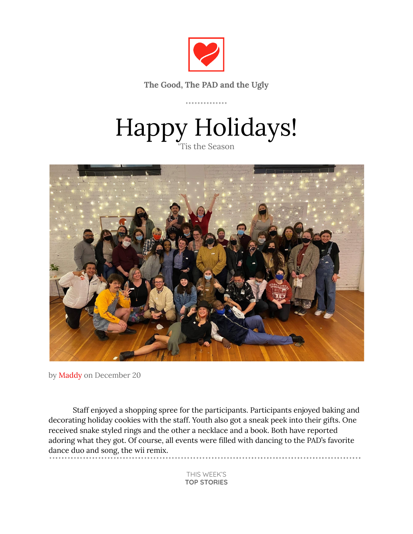

**The Good, The PAD and the Ugly**

. . . . . . . . . . . . . .

# Happy Holidays! 'Tis the Season



by Maddy on December 20

Staff enjoyed a shopping spree for the participants. Participants enjoyed baking and decorating holiday cookies with the staff. Youth also got a sneak peek into their gifts. One received snake styled rings and the other a necklace and a book. Both have reported adoring what they got. Of course, all events were filled with dancing to the PAD's favorite dance duo and song, the wii remix. 

> THIS WEEK'S **TOP STORIES**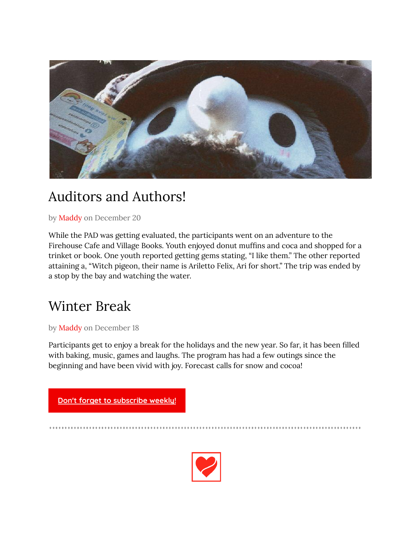

# Auditors and Authors!

by Maddy on December 20

While the PAD was getting evaluated, the participants went on an adventure to the Firehouse Cafe and Village Books. Youth enjoyed donut muffins and coca and shopped for a trinket or book. One youth reported getting gems stating, "I like them." The other reported attaining a, "Witch pigeon, their name is Ariletto Felix, Ari for short." The trip was ended by a stop by the bay and watching the water.

# Winter Break

by Maddy on December 18

Participants get to enjoy a break for the holidays and the new year. So far, it has been filled with baking, music, games and laughs. The program has had a few outings since the beginning and have been vivid with joy. Forecast calls for snow and cocoa!



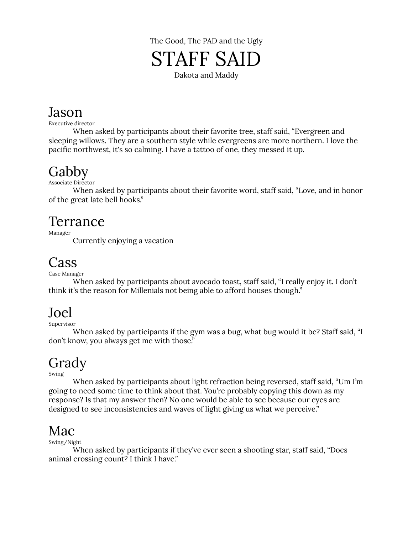

### Jason

Executive director

When asked by participants about their favorite tree, staff said, "Evergreen and sleeping willows. They are a southern style while evergreens are more northern. I love the pacific northwest, it's so calming. I have a tattoo of one, they messed it up.

### Gabby

Associate Director

When asked by participants about their favorite word, staff said, "Love, and in honor of the great late bell hooks."

#### Terrance

Manager

Currently enjoying a vacation

## Cass

Case Manager

When asked by participants about avocado toast, staff said, "I really enjoy it. I don't think it's the reason for Millenials not being able to afford houses though."

### Joel

Supervisor

When asked by participants if the gym was a bug, what bug would it be? Staff said, "I don't know, you always get me with those."

# Grady

Swing

When asked by participants about light refraction being reversed, staff said, "Um I'm going to need some time to think about that. You're probably copying this down as my response? Is that my answer then? No one would be able to see because our eyes are designed to see inconsistencies and waves of light giving us what we perceive."

### Mac

Swing/Night

When asked by participants if they've ever seen a shooting star, staff said, "Does animal crossing count? I think I have."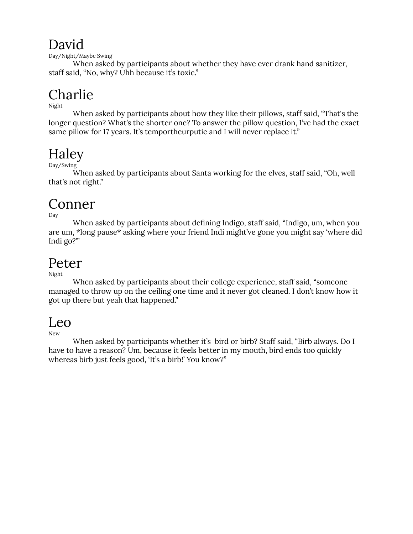### David

Day/Night/Maybe Swing

When asked by participants about whether they have ever drank hand sanitizer, staff said, "No, why? Uhh because it's toxic."

# Charlie

Night

When asked by participants about how they like their pillows, staff said, "That's the longer question? What's the shorter one? To answer the pillow question, I've had the exact same pillow for 17 years. It's temportheurputic and I will never replace it."

# Haley

Day/Swing

When asked by participants about Santa working for the elves, staff said, "Oh, well that's not right."

## Conner

Day

When asked by participants about defining Indigo, staff said, "Indigo, um, when you are um, \*long pause\* asking where your friend Indi might've gone you might say 'where did Indi go?'"

### Peter

Night

When asked by participants about their college experience, staff said, "someone managed to throw up on the ceiling one time and it never got cleaned. I don't know how it got up there but yeah that happened."

### Leo

New

When asked by participants whether it's bird or birb? Staff said, "Birb always. Do I have to have a reason? Um, because it feels better in my mouth, bird ends too quickly whereas birb just feels good, 'It's a birb!' You know?"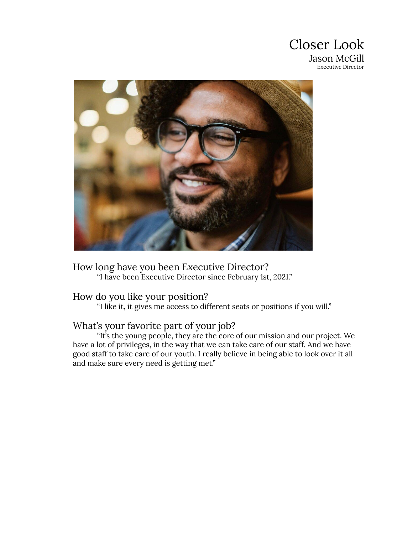



How long have you been Executive Director? "I have been Executive Director since February 1st, 2021."

#### How do you like your position?

"I like it, it gives me access to different seats or positions if you will."

#### What's your favorite part of your job?

"It's the young people, they are the core of our mission and our project. We have a lot of privileges, in the way that we can take care of our staff. And we have good staff to take care of our youth. I really believe in being able to look over it all and make sure every need is getting met."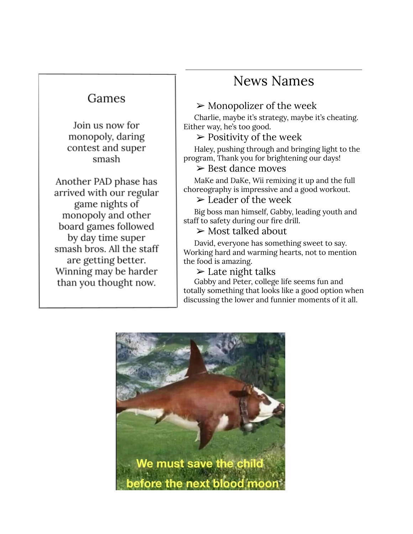#### Games

Join us now for monopoly, daring contest and super smash

Another PAD phase has arrived with our regular game nights of monopoly and other board games followed by day time super smash bros. All the staff are getting better. Winning may be harder than you thought now.

### News Names

#### $\triangleright$  Monopolizer of the week

Charlie, maybe it's strategy, maybe it's cheating. Either way, he's too good.

#### $\triangleright$  Positivity of the week

Haley, pushing through and bringing light to the program, Thank you for brightening our days!

#### ➢ Best dance moves

MaKe and DaKe, Wii remixing it up and the full choreography is impressive and a good workout.

#### $\triangleright$  Leader of the week

Big boss man himself, Gabby, leading youth and staff to safety during our fire drill.

#### $\triangleright$  Most talked about

David, everyone has something sweet to say. Working hard and warming hearts, not to mention the food is amazing.

 $\blacktriangleright$  Late night talks

Gabby and Peter, college life seems fun and totally something that looks like a good option when discussing the lower and funnier moments of it all.

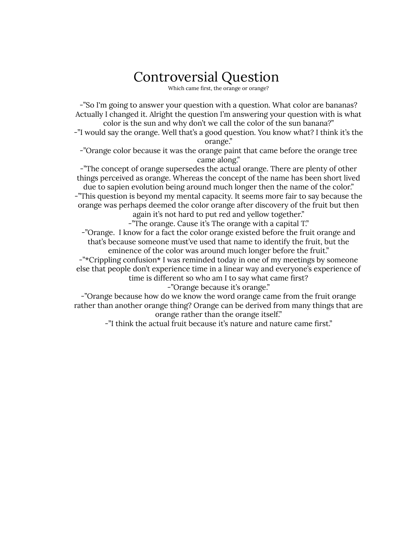# Controversial Question

Which came first, the orange or orange?

-"So I'm going to answer your question with a question. What color are bananas? Actually I changed it. Alright the question I'm answering your question with is what color is the sun and why don't we call the color of the sun banana?" -"I would say the orange. Well that's a good question. You know what? I think it's the orange." -"Orange color because it was the orange paint that came before the orange tree came along." -"The concept of orange supersedes the actual orange. There are plenty of other things perceived as orange. Whereas the concept of the name has been short lived due to sapien evolution being around much longer then the name of the color." -"This question is beyond my mental capacity. It seems more fair to say because the orange was perhaps deemed the color orange after discovery of the fruit but then again it's not hard to put red and yellow together." -"The orange. Cause it's The orange with a capital T." -"Orange. I know for a fact the color orange existed before the fruit orange and that's because someone must've used that name to identify the fruit, but the eminence of the color was around much longer before the fruit." -"\*Crippling confusion\* I was reminded today in one of my meetings by someone else that people don't experience time in a linear way and everyone's experience of time is different so who am I to say what came first?

-"Orange because it's orange."

-"Orange because how do we know the word orange came from the fruit orange rather than another orange thing? Orange can be derived from many things that are orange rather than the orange itself."

-"I think the actual fruit because it's nature and nature came first."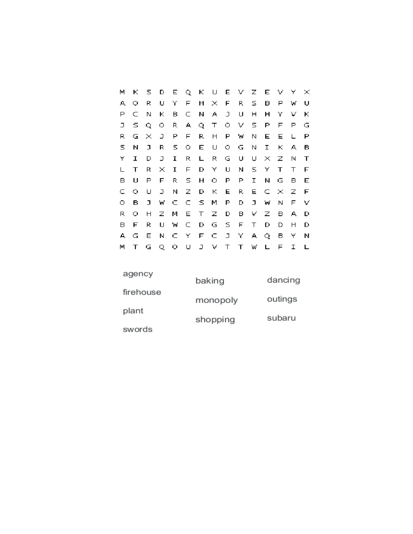| м  | к       | S.       | D            |    |       |             | E Q K U E V Z E V |        |             |    |          |     | Y. | $\times$ |
|----|---------|----------|--------------|----|-------|-------------|-------------------|--------|-------------|----|----------|-----|----|----------|
| А  | о       | R.       | U            | Υ  | F     | H           | $\times$ F        |        | R.          | s. | в        | Р   | w  | υ        |
| Р  | C.      | Ν        | ĸ            | в  |       | $\subset$ N | A                 | $\Box$ | U           | н  | н        | Υ   | v  | к        |
| J. | s.      | Q        | 0.           | R. |       | AQ.         | $\top$            | Ο.     | v s         |    | Р        | F   | P. | G        |
| R. | G       | $\times$ | J.           | P  | F.    | R.          | Н                 | E.     | W.          | N  | E        | Е   | L  | Р        |
| S. | N       | J.       | R            | s. | Ο.    | E.          | U                 | О.     | G           | N  | I        | к   | A  | в        |
| Y  | I       | D        | J.           | I  | R.    | L           | R.                | G      | U           | U  | $\times$ | z   | Ν  | T        |
| L  | т       | R.       | ×            | 1  | F.    | D.          | Y.                | U      | N.          | S. | Υ        | T   | Τ  | F        |
| в  | U       | Р        | F.           | R. | S.    | н           | Ο.                | Р      | Ρ           | I  | Ν        | G   | в  | Е        |
| c  | $\circ$ | υ        | J            | N. | Ζ.    | D           | К                 | E      | R.          | Е  | C.       | - × | z  | E        |
| 0. | в       | J.       | $\mathbf{M}$ | C. | C.    | - 5 -       | M                 | P      | D.          | J. | W        | Ν   | F. | v        |
| R. | о       | Н        | Z.           | м  | Е.    | $\top$      | Z.                | D.     | в.          |    | v z      | в   | А. | D        |
| в  | F       | R.       | U            | W  | C.    | D.          | G.                | - 5    | $\mathsf F$ | Τ  | D        | D   | н  | D        |
| A. | G       | Е        | Ν            | C. | - Y L | F           | C                 |        | J Y A       |    | Q.       | в   | Y  | N        |
| M  | т       | G        | Q            | o  | υ     | J           | V.                | $\top$ | Τ           | w  | L        | F   | I  | L        |

| agency    | baking   | dancing |
|-----------|----------|---------|
| firehouse | monopoly | outings |
| plant     |          |         |
| swords    | shopping | subaru  |